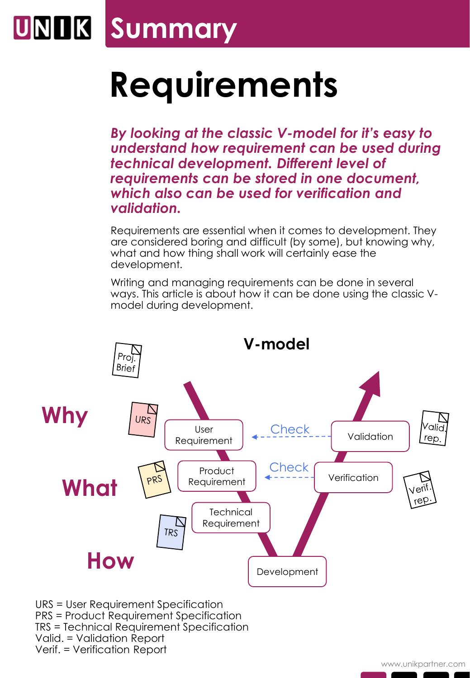## **UNIK Summary**

## **Requirements**

*By looking at the classic V-model for it's easy to understand how requirement can be used during technical development. Different level of requirements can be stored in one document, which also can be used for verification and validation.*

Requirements are essential when it comes to development. They are considered boring and difficult (by some), but knowing why, what and how thing shall work will certainly ease the development.

Writing and managing requirements can be done in several ways. This article is about how it can be done using the classic Vmodel during development.



Verif. = Verification Report